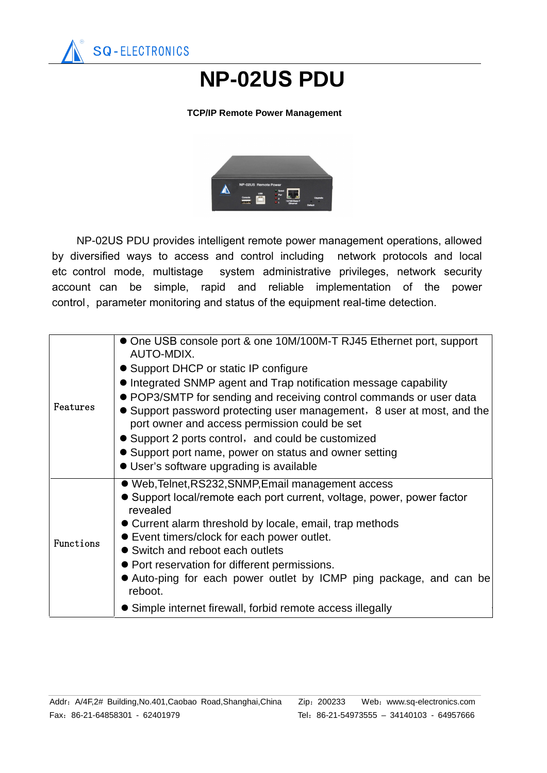

## **NP-02US PDU**

## **TCP/IP Remote Power Management**



 NP-02US PDU provides intelligent remote power management operations, allowed by diversified ways to access and control including network protocols and local etc control mode, multistage system administrative privileges, network security account can be simple, rapid and reliable implementation of the power control, parameter monitoring and status of the equipment real-time detection.

| Features  | • One USB console port & one 10M/100M-T RJ45 Ethernet port, support<br>AUTO-MDIX.<br>• Support DHCP or static IP configure<br>• Integrated SNMP agent and Trap notification message capability<br>• POP3/SMTP for sending and receiving control commands or user data<br>• Support password protecting user management, 8 user at most, and the<br>port owner and access permission could be set<br>• Support 2 ports control, and could be customized<br>• Support port name, power on status and owner setting<br>• User's software upgrading is available |
|-----------|--------------------------------------------------------------------------------------------------------------------------------------------------------------------------------------------------------------------------------------------------------------------------------------------------------------------------------------------------------------------------------------------------------------------------------------------------------------------------------------------------------------------------------------------------------------|
| Functions | • Web, Telnet, RS232, SNMP, Email management access<br>• Support local/remote each port current, voltage, power, power factor<br>revealed<br>• Current alarm threshold by locale, email, trap methods<br>• Event timers/clock for each power outlet.<br>• Switch and reboot each outlets<br>• Port reservation for different permissions.<br>• Auto-ping for each power outlet by ICMP ping package, and can be<br>reboot.<br>• Simple internet firewall, forbid remote access illegally                                                                     |